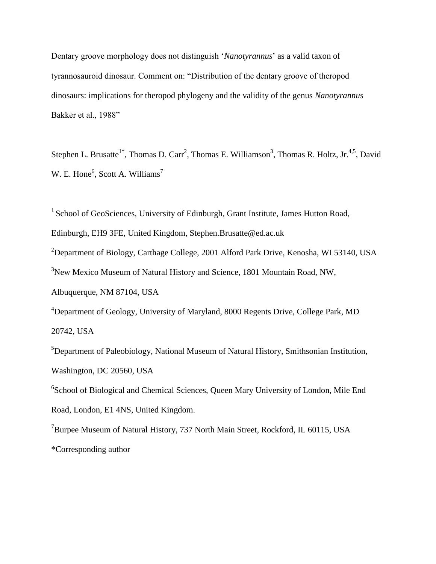Dentary groove morphology does not distinguish '*Nanotyrannus*' as a valid taxon of tyrannosauroid dinosaur. Comment on: "Distribution of the dentary groove of theropod dinosaurs: implications for theropod phylogeny and the validity of the genus *Nanotyrannus* Bakker et al., 1988"

Stephen L. Brusatte<sup>1\*</sup>, Thomas D. Carr<sup>2</sup>, Thomas E. Williamson<sup>3</sup>, Thomas R. Holtz, Jr.<sup>4,5</sup>, David W. E. Hone<sup>6</sup>, Scott A. Williams<sup>7</sup>

<sup>1</sup> School of GeoSciences, University of Edinburgh, Grant Institute, James Hutton Road,

Edinburgh, EH9 3FE, United Kingdom, Stephen.Brusatte@ed.ac.uk

<sup>2</sup>Department of Biology, Carthage College, 2001 Alford Park Drive, Kenosha, WI 53140, USA

 $3$ New Mexico Museum of Natural History and Science, 1801 Mountain Road, NW,

Albuquerque, NM 87104, USA

<sup>4</sup>Department of Geology, University of Maryland, 8000 Regents Drive, College Park, MD 20742, USA

 ${}^{5}$ Department of Paleobiology, National Museum of Natural History, Smithsonian Institution, Washington, DC 20560, USA

<sup>6</sup>School of Biological and Chemical Sciences, Queen Mary University of London, Mile End Road, London, E1 4NS, United Kingdom.

<sup>7</sup>Burpee Museum of Natural History, 737 North Main Street, Rockford, IL 60115, USA \*Corresponding author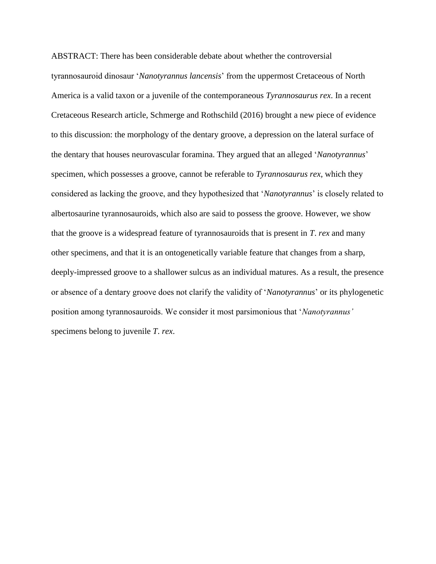ABSTRACT: There has been considerable debate about whether the controversial tyrannosauroid dinosaur '*Nanotyrannus lancensis*' from the uppermost Cretaceous of North America is a valid taxon or a juvenile of the contemporaneous *Tyrannosaurus rex*. In a recent Cretaceous Research article, Schmerge and Rothschild (2016) brought a new piece of evidence to this discussion: the morphology of the dentary groove, a depression on the lateral surface of the dentary that houses neurovascular foramina. They argued that an alleged '*Nanotyrannus*' specimen, which possesses a groove, cannot be referable to *Tyrannosaurus rex*, which they considered as lacking the groove, and they hypothesized that '*Nanotyrannus*' is closely related to albertosaurine tyrannosauroids, which also are said to possess the groove. However, we show that the groove is a widespread feature of tyrannosauroids that is present in *T*. *rex* and many other specimens, and that it is an ontogenetically variable feature that changes from a sharp, deeply-impressed groove to a shallower sulcus as an individual matures. As a result, the presence or absence of a dentary groove does not clarify the validity of '*Nanotyrannus*' or its phylogenetic position among tyrannosauroids. We consider it most parsimonious that '*Nanotyrannus'* specimens belong to juvenile *T*. *rex*.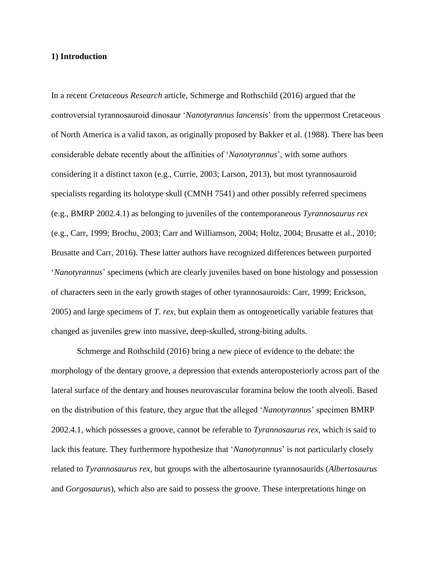## **1) Introduction**

In a recent *Cretaceous Research* article, Schmerge and Rothschild (2016) argued that the controversial tyrannosauroid dinosaur '*Nanotyrannus lancensis*' from the uppermost Cretaceous of North America is a valid taxon, as originally proposed by Bakker et al. (1988). There has been considerable debate recently about the affinities of '*Nanotyrannus*', with some authors considering it a distinct taxon (e.g., Currie, 2003; Larson, 2013), but most tyrannosauroid specialists regarding its holotype skull (CMNH 7541) and other possibly referred specimens (e.g., BMRP 2002.4.1) as belonging to juveniles of the contemporaneous *Tyrannosaurus rex* (e.g., Carr, 1999; Brochu, 2003; Carr and Williamson, 2004; Holtz, 2004; Brusatte et al., 2010; Brusatte and Carr, 2016). These latter authors have recognized differences between purported '*Nanotyrannus*' specimens (which are clearly juveniles based on bone histology and possession of characters seen in the early growth stages of other tyrannosauroids: Carr, 1999; Erickson, 2005) and large specimens of *T*. *rex*, but explain them as ontogenetically variable features that changed as juveniles grew into massive, deep-skulled, strong-biting adults.

Schmerge and Rothschild (2016) bring a new piece of evidence to the debate: the morphology of the dentary groove, a depression that extends anteroposteriorly across part of the lateral surface of the dentary and houses neurovascular foramina below the tooth alveoli. Based on the distribution of this feature, they argue that the alleged '*Nanotyrannus*' specimen BMRP 2002.4.1, which possesses a groove, cannot be referable to *Tyrannosaurus rex*, which is said to lack this feature. They furthermore hypothesize that '*Nanotyrannus*' is not particularly closely related to *Tyrannosaurus rex*, but groups with the albertosaurine tyrannosaurids (*Albertosaurus* and *Gorgosaurus*), which also are said to possess the groove. These interpretations hinge on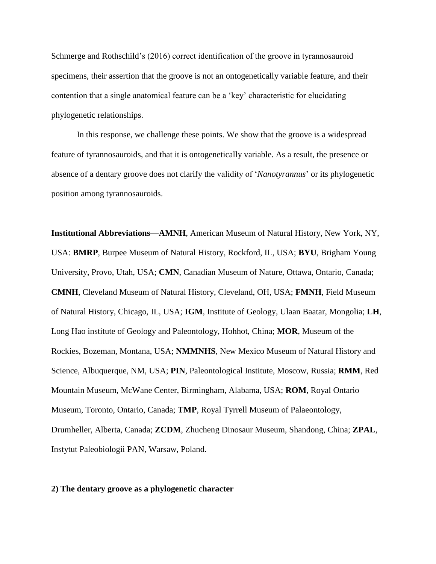Schmerge and Rothschild's (2016) correct identification of the groove in tyrannosauroid specimens, their assertion that the groove is not an ontogenetically variable feature, and their contention that a single anatomical feature can be a 'key' characteristic for elucidating phylogenetic relationships.

In this response, we challenge these points. We show that the groove is a widespread feature of tyrannosauroids, and that it is ontogenetically variable. As a result, the presence or absence of a dentary groove does not clarify the validity of '*Nanotyrannus*' or its phylogenetic position among tyrannosauroids.

**Institutional Abbreviations**—**AMNH**, American Museum of Natural History, New York, NY, USA: **BMRP**, Burpee Museum of Natural History, Rockford, IL, USA; **BYU**, Brigham Young University, Provo, Utah, USA; **CMN**, Canadian Museum of Nature, Ottawa, Ontario, Canada; **CMNH**, Cleveland Museum of Natural History, Cleveland, OH, USA; **FMNH**, Field Museum of Natural History, Chicago, IL, USA; **IGM**, Institute of Geology, Ulaan Baatar, Mongolia; **LH**, Long Hao institute of Geology and Paleontology, Hohhot, China; **MOR**, Museum of the Rockies, Bozeman, Montana, USA; **NMMNHS**, New Mexico Museum of Natural History and Science, Albuquerque, NM, USA; **PIN**, Paleontological Institute, Moscow, Russia; **RMM**, Red Mountain Museum, McWane Center, Birmingham, Alabama, USA; **ROM**, Royal Ontario Museum, Toronto, Ontario, Canada; **TMP**, Royal Tyrrell Museum of Palaeontology, Drumheller, Alberta, Canada; **ZCDM**, Zhucheng Dinosaur Museum, Shandong, China; **ZPAL**, Instytut Paleobiologii PAN, Warsaw, Poland.

#### **2) The dentary groove as a phylogenetic character**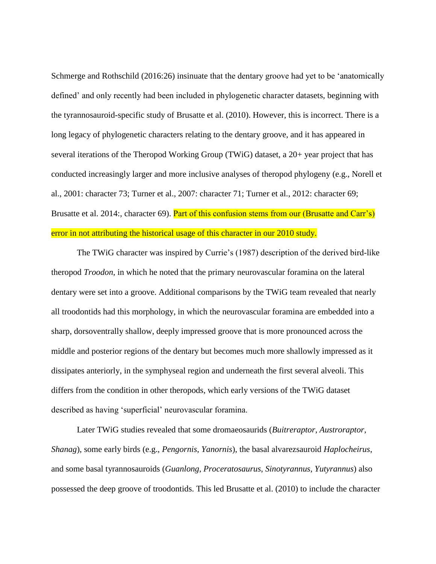Schmerge and Rothschild (2016:26) insinuate that the dentary groove had yet to be 'anatomically defined' and only recently had been included in phylogenetic character datasets, beginning with the tyrannosauroid-specific study of Brusatte et al. (2010). However, this is incorrect. There is a long legacy of phylogenetic characters relating to the dentary groove, and it has appeared in several iterations of the Theropod Working Group (TWiG) dataset, a 20+ year project that has conducted increasingly larger and more inclusive analyses of theropod phylogeny (e.g., Norell et al., 2001: character 73; Turner et al., 2007: character 71; Turner et al., 2012: character 69; Brusatte et al. 2014:, character 69). Part of this confusion stems from our (Brusatte and Carr's) error in not attributing the historical usage of this character in our 2010 study.

The TWiG character was inspired by Currie's (1987) description of the derived bird-like theropod *Troodon*, in which he noted that the primary neurovascular foramina on the lateral dentary were set into a groove. Additional comparisons by the TWiG team revealed that nearly all troodontids had this morphology, in which the neurovascular foramina are embedded into a sharp, dorsoventrally shallow, deeply impressed groove that is more pronounced across the middle and posterior regions of the dentary but becomes much more shallowly impressed as it dissipates anteriorly, in the symphyseal region and underneath the first several alveoli. This differs from the condition in other theropods, which early versions of the TWiG dataset described as having 'superficial' neurovascular foramina.

Later TWiG studies revealed that some dromaeosaurids (*Buitreraptor*, *Austroraptor*, *Shanag*), some early birds (e.g., *Pengornis*, *Yanornis*), the basal alvarezsauroid *Haplocheirus*, and some basal tyrannosauroids (*Guanlong*, *Proceratosaurus*, *Sinotyrannus*, *Yutyrannus*) also possessed the deep groove of troodontids. This led Brusatte et al. (2010) to include the character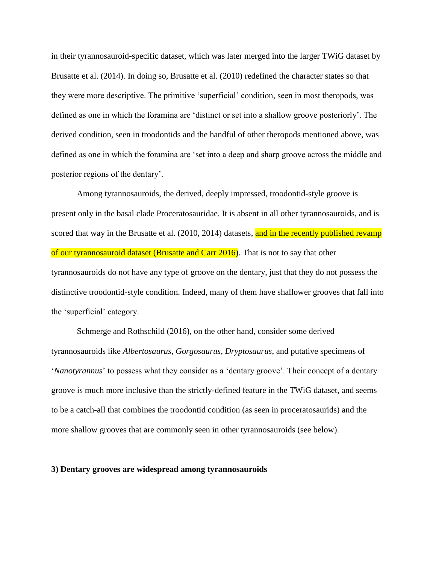in their tyrannosauroid-specific dataset, which was later merged into the larger TWiG dataset by Brusatte et al. (2014). In doing so, Brusatte et al. (2010) redefined the character states so that they were more descriptive. The primitive 'superficial' condition, seen in most theropods, was defined as one in which the foramina are 'distinct or set into a shallow groove posteriorly'. The derived condition, seen in troodontids and the handful of other theropods mentioned above, was defined as one in which the foramina are 'set into a deep and sharp groove across the middle and posterior regions of the dentary'.

Among tyrannosauroids, the derived, deeply impressed, troodontid-style groove is present only in the basal clade Proceratosauridae. It is absent in all other tyrannosauroids, and is scored that way in the Brusatte et al. (2010, 2014) datasets, and in the recently published revamp of our tyrannosauroid dataset (Brusatte and Carr 2016). That is not to say that other tyrannosauroids do not have any type of groove on the dentary, just that they do not possess the distinctive troodontid-style condition. Indeed, many of them have shallower grooves that fall into the 'superficial' category.

Schmerge and Rothschild (2016), on the other hand, consider some derived tyrannosauroids like *Albertosaurus*, *Gorgosaurus*, *Dryptosaurus*, and putative specimens of '*Nanotyrannus*' to possess what they consider as a 'dentary groove'. Their concept of a dentary groove is much more inclusive than the strictly-defined feature in the TWiG dataset, and seems to be a catch-all that combines the troodontid condition (as seen in proceratosaurids) and the more shallow grooves that are commonly seen in other tyrannosauroids (see below).

## **3) Dentary grooves are widespread among tyrannosauroids**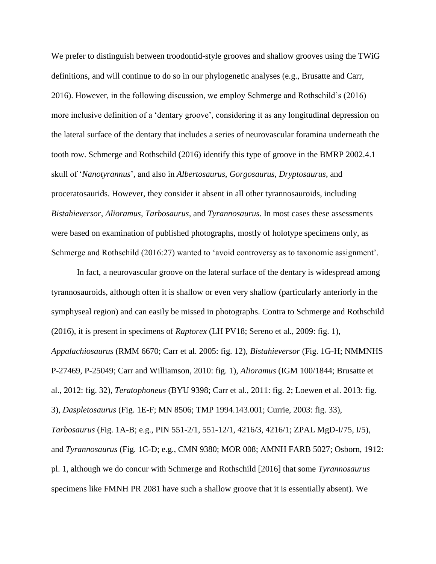We prefer to distinguish between troodontid-style grooves and shallow grooves using the TWiG definitions, and will continue to do so in our phylogenetic analyses (e.g., Brusatte and Carr, 2016). However, in the following discussion, we employ Schmerge and Rothschild's (2016) more inclusive definition of a 'dentary groove', considering it as any longitudinal depression on the lateral surface of the dentary that includes a series of neurovascular foramina underneath the tooth row. Schmerge and Rothschild (2016) identify this type of groove in the BMRP 2002.4.1 skull of '*Nanotyrannus*', and also in *Albertosaurus*, *Gorgosaurus*, *Dryptosaurus*, and proceratosaurids. However, they consider it absent in all other tyrannosauroids, including *Bistahieversor*, *Alioramus*, *Tarbosaurus*, and *Tyrannosaurus*. In most cases these assessments were based on examination of published photographs, mostly of holotype specimens only, as Schmerge and Rothschild (2016:27) wanted to 'avoid controversy as to taxonomic assignment'.

In fact, a neurovascular groove on the lateral surface of the dentary is widespread among tyrannosauroids, although often it is shallow or even very shallow (particularly anteriorly in the symphyseal region) and can easily be missed in photographs. Contra to Schmerge and Rothschild (2016), it is present in specimens of *Raptorex* (LH PV18; Sereno et al., 2009: fig. 1), *Appalachiosaurus* (RMM 6670; Carr et al. 2005: fig. 12), *Bistahieversor* (Fig. 1G-H; NMMNHS P-27469, P-25049; Carr and Williamson, 2010: fig. 1), *Alioramus* (IGM 100/1844; Brusatte et al., 2012: fig. 32), *Teratophoneus* (BYU 9398; Carr et al., 2011: fig. 2; Loewen et al. 2013: fig. 3), *Daspletosaurus* (Fig. 1E-F; MN 8506; TMP 1994.143.001; Currie, 2003: fig. 33), *Tarbosaurus* (Fig. 1A-B; e.g., PIN 551-2/1, 551-12/1, 4216/3, 4216/1; ZPAL MgD-I/75, I/5), and *Tyrannosaurus* (Fig. 1C-D; e.g., CMN 9380; MOR 008; AMNH FARB 5027; Osborn, 1912: pl. 1, although we do concur with Schmerge and Rothschild [2016] that some *Tyrannosaurus* specimens like FMNH PR 2081 have such a shallow groove that it is essentially absent). We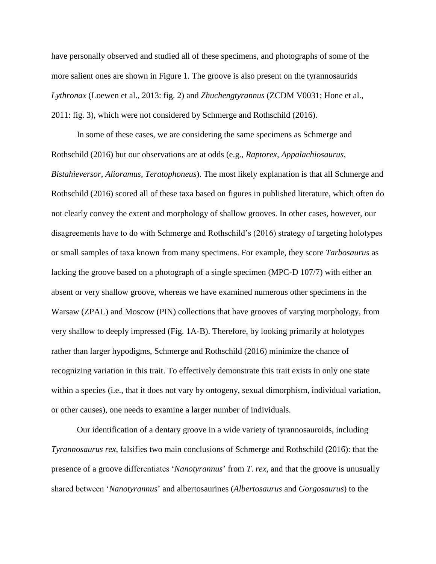have personally observed and studied all of these specimens, and photographs of some of the more salient ones are shown in Figure 1. The groove is also present on the tyrannosaurids *Lythronax* (Loewen et al., 2013: fig. 2) and *Zhuchengtyrannus* (ZCDM V0031; Hone et al., 2011: fig. 3), which were not considered by Schmerge and Rothschild (2016).

In some of these cases, we are considering the same specimens as Schmerge and Rothschild (2016) but our observations are at odds (e.g., *Raptorex*, *Appalachiosaurus*, *Bistahieversor*, *Alioramus*, *Teratophoneus*). The most likely explanation is that all Schmerge and Rothschild (2016) scored all of these taxa based on figures in published literature, which often do not clearly convey the extent and morphology of shallow grooves. In other cases, however, our disagreements have to do with Schmerge and Rothschild's (2016) strategy of targeting holotypes or small samples of taxa known from many specimens. For example, they score *Tarbosaurus* as lacking the groove based on a photograph of a single specimen (MPC-D 107/7) with either an absent or very shallow groove, whereas we have examined numerous other specimens in the Warsaw (ZPAL) and Moscow (PIN) collections that have grooves of varying morphology, from very shallow to deeply impressed (Fig. 1A-B). Therefore, by looking primarily at holotypes rather than larger hypodigms, Schmerge and Rothschild (2016) minimize the chance of recognizing variation in this trait. To effectively demonstrate this trait exists in only one state within a species (i.e., that it does not vary by ontogeny, sexual dimorphism, individual variation, or other causes), one needs to examine a larger number of individuals.

Our identification of a dentary groove in a wide variety of tyrannosauroids, including *Tyrannosaurus rex*, falsifies two main conclusions of Schmerge and Rothschild (2016): that the presence of a groove differentiates '*Nanotyrannus*' from *T*. *rex*, and that the groove is unusually shared between '*Nanotyrannus*' and albertosaurines (*Albertosaurus* and *Gorgosaurus*) to the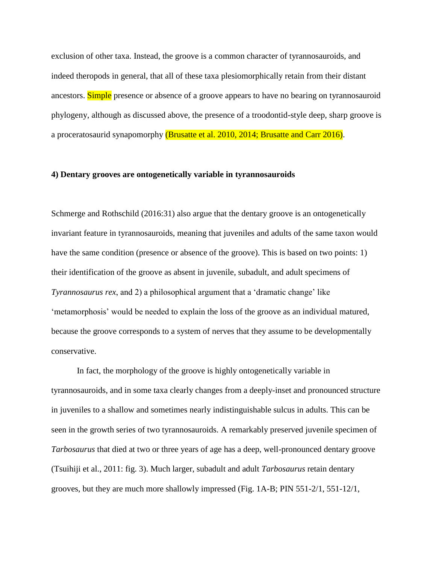exclusion of other taxa. Instead, the groove is a common character of tyrannosauroids, and indeed theropods in general, that all of these taxa plesiomorphically retain from their distant ancestors. Simple presence or absence of a groove appears to have no bearing on tyrannosauroid phylogeny, although as discussed above, the presence of a troodontid-style deep, sharp groove is a proceratosaurid synapomorphy (Brusatte et al. 2010, 2014; Brusatte and Carr 2016).

## **4) Dentary grooves are ontogenetically variable in tyrannosauroids**

Schmerge and Rothschild (2016:31) also argue that the dentary groove is an ontogenetically invariant feature in tyrannosauroids, meaning that juveniles and adults of the same taxon would have the same condition (presence or absence of the groove). This is based on two points: 1) their identification of the groove as absent in juvenile, subadult, and adult specimens of *Tyrannosaurus rex*, and 2) a philosophical argument that a 'dramatic change' like 'metamorphosis' would be needed to explain the loss of the groove as an individual matured, because the groove corresponds to a system of nerves that they assume to be developmentally conservative.

In fact, the morphology of the groove is highly ontogenetically variable in tyrannosauroids, and in some taxa clearly changes from a deeply-inset and pronounced structure in juveniles to a shallow and sometimes nearly indistinguishable sulcus in adults. This can be seen in the growth series of two tyrannosauroids. A remarkably preserved juvenile specimen of *Tarbosaurus* that died at two or three years of age has a deep, well-pronounced dentary groove (Tsuihiji et al., 2011: fig. 3). Much larger, subadult and adult *Tarbosaurus* retain dentary grooves, but they are much more shallowly impressed (Fig. 1A-B; PIN 551-2/1, 551-12/1,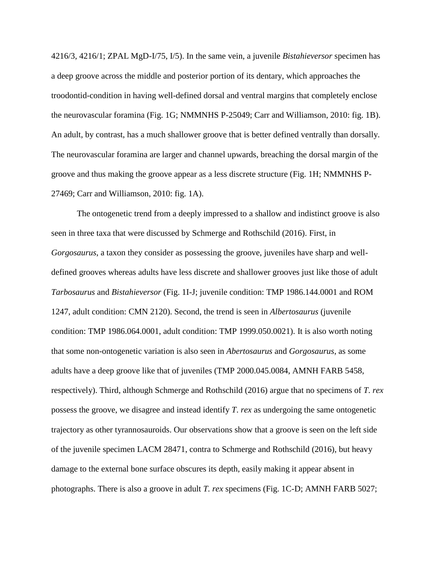4216/3, 4216/1; ZPAL MgD-I/75, I/5). In the same vein, a juvenile *Bistahieversor* specimen has a deep groove across the middle and posterior portion of its dentary, which approaches the troodontid-condition in having well-defined dorsal and ventral margins that completely enclose the neurovascular foramina (Fig. 1G; NMMNHS P-25049; Carr and Williamson, 2010: fig. 1B). An adult, by contrast, has a much shallower groove that is better defined ventrally than dorsally. The neurovascular foramina are larger and channel upwards, breaching the dorsal margin of the groove and thus making the groove appear as a less discrete structure (Fig. 1H; NMMNHS P-27469; Carr and Williamson, 2010: fig. 1A).

The ontogenetic trend from a deeply impressed to a shallow and indistinct groove is also seen in three taxa that were discussed by Schmerge and Rothschild (2016). First, in *Gorgosaurus*, a taxon they consider as possessing the groove, juveniles have sharp and welldefined grooves whereas adults have less discrete and shallower grooves just like those of adult *Tarbosaurus* and *Bistahieversor* (Fig. 1I-J; juvenile condition: TMP 1986.144.0001 and ROM 1247, adult condition: CMN 2120). Second, the trend is seen in *Albertosaurus* (juvenile condition: TMP 1986.064.0001, adult condition: TMP 1999.050.0021). It is also worth noting that some non-ontogenetic variation is also seen in *Abertosaurus* and *Gorgosaurus*, as some adults have a deep groove like that of juveniles (TMP 2000.045.0084, AMNH FARB 5458, respectively). Third, although Schmerge and Rothschild (2016) argue that no specimens of *T*. *rex* possess the groove, we disagree and instead identify *T*. *rex* as undergoing the same ontogenetic trajectory as other tyrannosauroids. Our observations show that a groove is seen on the left side of the juvenile specimen LACM 28471, contra to Schmerge and Rothschild (2016), but heavy damage to the external bone surface obscures its depth, easily making it appear absent in photographs. There is also a groove in adult *T. rex* specimens (Fig. 1C-D; AMNH FARB 5027;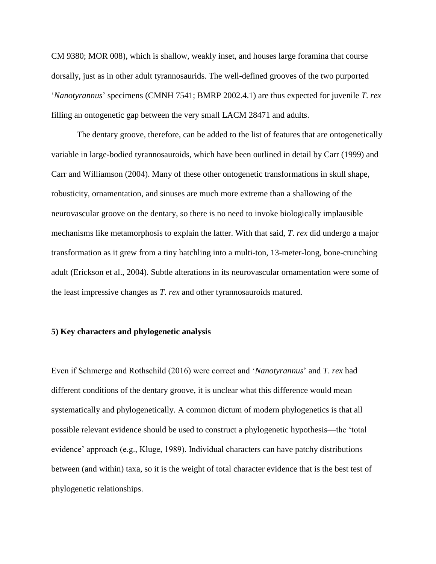CM 9380; MOR 008), which is shallow, weakly inset, and houses large foramina that course dorsally, just as in other adult tyrannosaurids. The well-defined grooves of the two purported '*Nanotyrannus*' specimens (CMNH 7541; BMRP 2002.4.1) are thus expected for juvenile *T*. *rex* filling an ontogenetic gap between the very small LACM 28471 and adults.

The dentary groove, therefore, can be added to the list of features that are ontogenetically variable in large-bodied tyrannosauroids, which have been outlined in detail by Carr (1999) and Carr and Williamson (2004). Many of these other ontogenetic transformations in skull shape, robusticity, ornamentation, and sinuses are much more extreme than a shallowing of the neurovascular groove on the dentary, so there is no need to invoke biologically implausible mechanisms like metamorphosis to explain the latter. With that said, *T*. *rex* did undergo a major transformation as it grew from a tiny hatchling into a multi-ton, 13-meter-long, bone-crunching adult (Erickson et al., 2004). Subtle alterations in its neurovascular ornamentation were some of the least impressive changes as *T*. *rex* and other tyrannosauroids matured.

# **5) Key characters and phylogenetic analysis**

Even if Schmerge and Rothschild (2016) were correct and '*Nanotyrannus*' and *T*. *rex* had different conditions of the dentary groove, it is unclear what this difference would mean systematically and phylogenetically. A common dictum of modern phylogenetics is that all possible relevant evidence should be used to construct a phylogenetic hypothesis—the 'total evidence' approach (e.g., Kluge, 1989). Individual characters can have patchy distributions between (and within) taxa, so it is the weight of total character evidence that is the best test of phylogenetic relationships.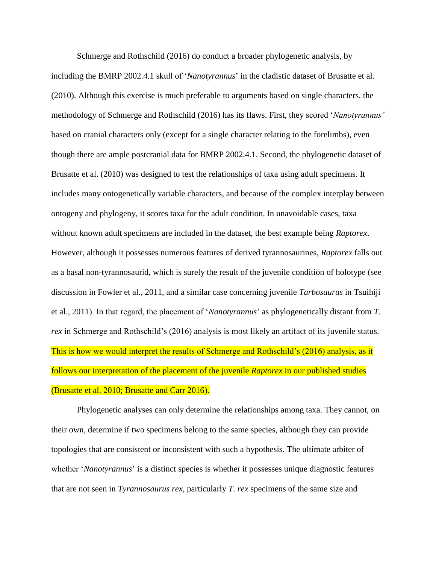Schmerge and Rothschild (2016) do conduct a broader phylogenetic analysis, by including the BMRP 2002.4.1 skull of '*Nanotyrannus*' in the cladistic dataset of Brusatte et al. (2010). Although this exercise is much preferable to arguments based on single characters, the methodology of Schmerge and Rothschild (2016) has its flaws. First, they scored '*Nanotyrannus'* based on cranial characters only (except for a single character relating to the forelimbs), even though there are ample postcranial data for BMRP 2002.4.1. Second, the phylogenetic dataset of Brusatte et al. (2010) was designed to test the relationships of taxa using adult specimens. It includes many ontogenetically variable characters, and because of the complex interplay between ontogeny and phylogeny, it scores taxa for the adult condition. In unavoidable cases, taxa without known adult specimens are included in the dataset, the best example being *Raptorex*. However, although it possesses numerous features of derived tyrannosaurines, *Raptorex* falls out as a basal non-tyrannosaurid, which is surely the result of the juvenile condition of holotype (see discussion in Fowler et al., 2011, and a similar case concerning juvenile *Tarbosaurus* in Tsuihiji et al., 2011). In that regard, the placement of '*Nanotyrannus*' as phylogenetically distant from *T*. *rex* in Schmerge and Rothschild's (2016) analysis is most likely an artifact of its juvenile status. This is how we would interpret the results of Schmerge and Rothschild's (2016) analysis, as it follows our interpretation of the placement of the juvenile *Raptorex* in our published studies (Brusatte et al. 2010; Brusatte and Carr 2016).

Phylogenetic analyses can only determine the relationships among taxa. They cannot, on their own, determine if two specimens belong to the same species, although they can provide topologies that are consistent or inconsistent with such a hypothesis. The ultimate arbiter of whether '*Nanotyrannus*' is a distinct species is whether it possesses unique diagnostic features that are not seen in *Tyrannosaurus rex*, particularly *T*. *rex* specimens of the same size and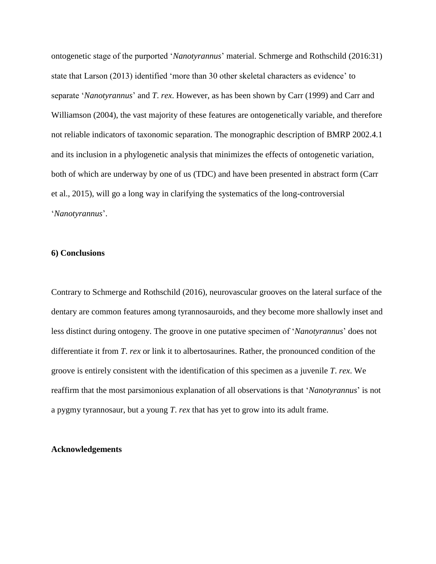ontogenetic stage of the purported '*Nanotyrannus*' material. Schmerge and Rothschild (2016:31) state that Larson (2013) identified 'more than 30 other skeletal characters as evidence' to separate '*Nanotyrannus*' and *T*. *rex*. However, as has been shown by Carr (1999) and Carr and Williamson (2004), the vast majority of these features are ontogenetically variable, and therefore not reliable indicators of taxonomic separation. The monographic description of BMRP 2002.4.1 and its inclusion in a phylogenetic analysis that minimizes the effects of ontogenetic variation, both of which are underway by one of us (TDC) and have been presented in abstract form (Carr et al., 2015), will go a long way in clarifying the systematics of the long-controversial '*Nanotyrannus*'.

## **6) Conclusions**

Contrary to Schmerge and Rothschild (2016), neurovascular grooves on the lateral surface of the dentary are common features among tyrannosauroids, and they become more shallowly inset and less distinct during ontogeny. The groove in one putative specimen of '*Nanotyrannus*' does not differentiate it from *T*. *rex* or link it to albertosaurines. Rather, the pronounced condition of the groove is entirely consistent with the identification of this specimen as a juvenile *T*. *rex*. We reaffirm that the most parsimonious explanation of all observations is that '*Nanotyrannus*' is not a pygmy tyrannosaur, but a young *T*. *rex* that has yet to grow into its adult frame.

#### **Acknowledgements**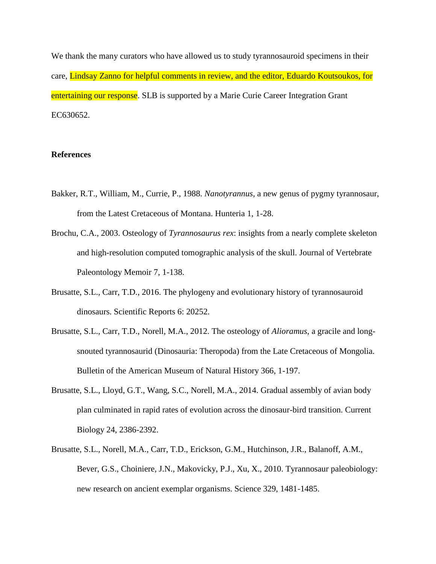We thank the many curators who have allowed us to study tyrannosauroid specimens in their care, Lindsay Zanno for helpful comments in review, and the editor, Eduardo Koutsoukos, for entertaining our response. SLB is supported by a Marie Curie Career Integration Grant EC630652.

## **References**

- Bakker, R.T., William, M., Currie, P., 1988. *Nanotyrannus*, a new genus of pygmy tyrannosaur, from the Latest Cretaceous of Montana. Hunteria 1, 1-28.
- Brochu, C.A., 2003. Osteology of *Tyrannosaurus rex*: insights from a nearly complete skeleton and high-resolution computed tomographic analysis of the skull. Journal of Vertebrate Paleontology Memoir 7, 1-138.
- Brusatte, S.L., Carr, T.D., 2016. The phylogeny and evolutionary history of tyrannosauroid dinosaurs. Scientific Reports 6: 20252.
- Brusatte, S.L., Carr, T.D., Norell, M.A., 2012. The osteology of *Alioramus*, a gracile and longsnouted tyrannosaurid (Dinosauria: Theropoda) from the Late Cretaceous of Mongolia. Bulletin of the American Museum of Natural History 366, 1-197.
- Brusatte, S.L., Lloyd, G.T., Wang, S.C., Norell, M.A., 2014. Gradual assembly of avian body plan culminated in rapid rates of evolution across the dinosaur-bird transition. Current Biology 24, 2386-2392.
- Brusatte, S.L., Norell, M.A., Carr, T.D., Erickson, G.M., Hutchinson, J.R., Balanoff, A.M., Bever, G.S., Choiniere, J.N., Makovicky, P.J., Xu, X., 2010. Tyrannosaur paleobiology: new research on ancient exemplar organisms. Science 329, 1481-1485.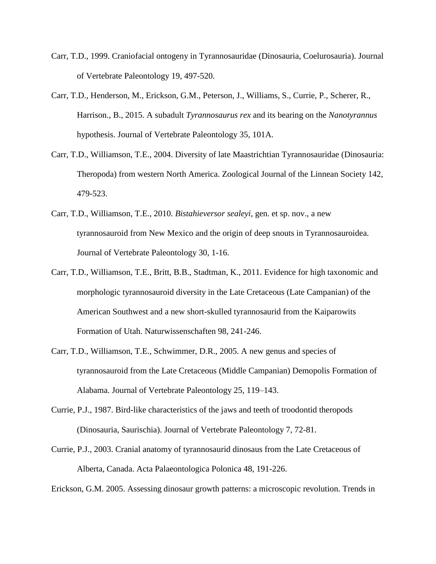- Carr, T.D., 1999. Craniofacial ontogeny in Tyrannosauridae (Dinosauria, Coelurosauria). Journal of Vertebrate Paleontology 19, 497-520.
- Carr, T.D., Henderson, M., Erickson, G.M., Peterson, J., Williams, S., Currie, P., Scherer, R., Harrison., B., 2015. A subadult *Tyrannosaurus rex* and its bearing on the *Nanotyrannus* hypothesis. Journal of Vertebrate Paleontology 35, 101A.
- Carr, T.D., Williamson, T.E., 2004. Diversity of late Maastrichtian Tyrannosauridae (Dinosauria: Theropoda) from western North America. Zoological Journal of the Linnean Society 142, 479-523.
- Carr, T.D., Williamson, T.E., 2010. *Bistahieversor sealeyi*, gen. et sp. nov., a new tyrannosauroid from New Mexico and the origin of deep snouts in Tyrannosauroidea. Journal of Vertebrate Paleontology 30, 1-16.
- Carr, T.D., Williamson, T.E., Britt, B.B., Stadtman, K., 2011. Evidence for high taxonomic and morphologic tyrannosauroid diversity in the Late Cretaceous (Late Campanian) of the American Southwest and a new short-skulled tyrannosaurid from the Kaiparowits Formation of Utah. Naturwissenschaften 98, 241-246.
- Carr, T.D., Williamson, T.E., Schwimmer, D.R., 2005. A new genus and species of tyrannosauroid from the Late Cretaceous (Middle Campanian) Demopolis Formation of Alabama. Journal of Vertebrate Paleontology 25, 119–143.
- Currie, P.J., 1987. Bird-like characteristics of the jaws and teeth of troodontid theropods (Dinosauria, Saurischia). Journal of Vertebrate Paleontology 7, 72-81.
- Currie, P.J., 2003. Cranial anatomy of tyrannosaurid dinosaus from the Late Cretaceous of Alberta, Canada. Acta Palaeontologica Polonica 48, 191-226.

Erickson, G.M. 2005. Assessing dinosaur growth patterns: a microscopic revolution. Trends in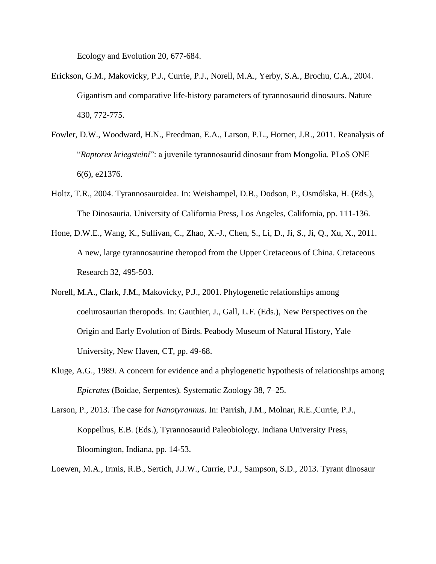Ecology and Evolution 20, 677-684.

- Erickson, G.M., Makovicky, P.J., Currie, P.J., Norell, M.A., Yerby, S.A., Brochu, C.A., 2004. Gigantism and comparative life-history parameters of tyrannosaurid dinosaurs. Nature 430, 772-775.
- Fowler, D.W., Woodward, H.N., Freedman, E.A., Larson, P.L., Horner, J.R., 2011. Reanalysis of "*Raptorex kriegsteini*": a juvenile tyrannosaurid dinosaur from Mongolia. PLoS ONE 6(6), e21376.
- Holtz, T.R., 2004. Tyrannosauroidea. In: Weishampel, D.B., Dodson, P., Osmólska, H. (Eds.), The Dinosauria. University of California Press, Los Angeles, California, pp. 111-136.
- Hone, D.W.E., Wang, K., Sullivan, C., Zhao, X.-J., Chen, S., Li, D., Ji, S., Ji, Q., Xu, X., 2011. A new, large tyrannosaurine theropod from the Upper Cretaceous of China. Cretaceous Research 32, 495-503.
- Norell, M.A., Clark, J.M., Makovicky, P.J., 2001. Phylogenetic relationships among coelurosaurian theropods. In: Gauthier, J., Gall, L.F. (Eds.), New Perspectives on the Origin and Early Evolution of Birds. Peabody Museum of Natural History, Yale University, New Haven, CT, pp. 49-68.
- Kluge, A.G., 1989. A concern for evidence and a phylogenetic hypothesis of relationships among *Epicrates* (Boidae, Serpentes)*.* Systematic Zoology 38*,* 7*–*25.
- Larson, P., 2013. The case for *Nanotyrannus*. In: Parrish, J.M., Molnar, R.E.,Currie, P.J., Koppelhus, E.B. (Eds.), Tyrannosaurid Paleobiology. Indiana University Press, Bloomington, Indiana, pp. 14-53.
- Loewen, M.A., Irmis, R.B., Sertich, J.J.W., Currie, P.J., Sampson, S.D., 2013. Tyrant dinosaur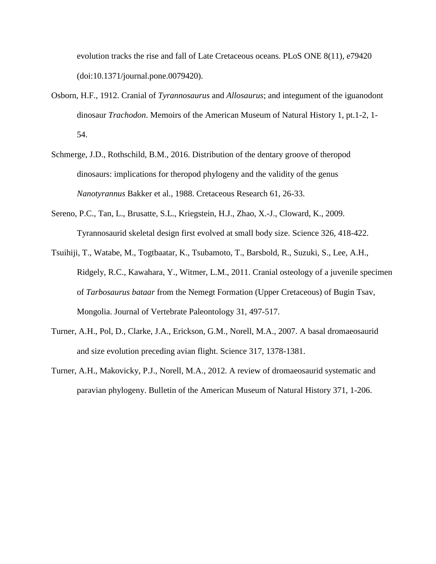evolution tracks the rise and fall of Late Cretaceous oceans. PLoS ONE 8(11), e79420 (doi:10.1371/journal.pone.0079420).

- Osborn, H.F., 1912. Cranial of *Tyrannosaurus* and *Allosaurus*; and integument of the iguanodont dinosaur *Trachodon*. Memoirs of the American Museum of Natural History 1, pt.1-2, 1- 54.
- Schmerge, J.D., Rothschild, B.M., 2016. Distribution of the dentary groove of theropod dinosaurs: implications for theropod phylogeny and the validity of the genus *Nanotyrannus* Bakker et al., 1988. Cretaceous Research 61, 26-33.
- Sereno, P.C., Tan, L., Brusatte, S.L., Kriegstein, H.J., Zhao, X.-J., Cloward, K., 2009. Tyrannosaurid skeletal design first evolved at small body size. Science 326, 418-422.
- Tsuihiji, T., Watabe, M., Togtbaatar, K., Tsubamoto, T., Barsbold, R., Suzuki, S., Lee, A.H., Ridgely, R.C., Kawahara, Y., Witmer, L.M., 2011. Cranial osteology of a juvenile specimen of *Tarbosaurus bataar* from the Nemegt Formation (Upper Cretaceous) of Bugin Tsav, Mongolia. Journal of Vertebrate Paleontology 31, 497-517.
- Turner, A.H., Pol, D., Clarke, J.A., Erickson, G.M., Norell, M.A., 2007. A basal dromaeosaurid and size evolution preceding avian flight. Science 317, 1378-1381.
- Turner, A.H., Makovicky, P.J., Norell, M.A., 2012. A review of dromaeosaurid systematic and paravian phylogeny. Bulletin of the American Museum of Natural History 371, 1-206.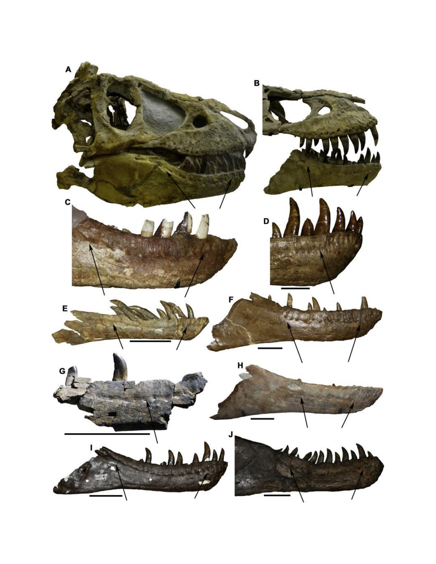